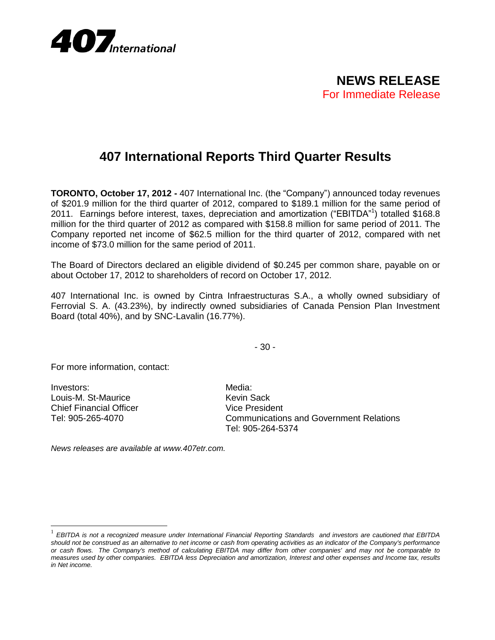

## **407 International Reports Third Quarter Results**

**TORONTO, October 17, 2012 -** 407 International Inc. (the "Company") announced today revenues of \$201.9 million for the third quarter of 2012, compared to \$189.1 million for the same period of 2011. Earnings before interest, taxes, depreciation and amortization ("EBITDA"<sup>1</sup> ) totalled \$168.8 million for the third quarter of 2012 as compared with \$158.8 million for same period of 2011. The Company reported net income of \$62.5 million for the third quarter of 2012, compared with net income of \$73.0 million for the same period of 2011.

The Board of Directors declared an eligible dividend of \$0.245 per common share, payable on or about October 17, 2012 to shareholders of record on October 17, 2012.

407 International Inc. is owned by Cintra Infraestructuras S.A., a wholly owned subsidiary of Ferrovial S. A. (43.23%), by indirectly owned subsidiaries of Canada Pension Plan Investment Board (total 40%), and by SNC-Lavalin (16.77%).

- 30 -

For more information, contact:

Investors: Media: Media: Media: Media: Media: Media: Media: Media: Media: Media: Media: Media:  $\mathsf{M}\mathsf{M}\mathsf{M}\mathsf{M}$ Louis-M. St-Maurice **Kevin Sack** Chief Financial Officer Vice President

 $\overline{a}$ 

Tel: 905-265-4070 Communications and Government Relations Tel: 905-264-5374

*News releases are available at www.407etr.com.*

<sup>1</sup> *EBITDA is not a recognized measure under International Financial Reporting Standards and investors are cautioned that EBITDA should not be construed as an alternative to net income or cash from operating activities as an indicator of the Company's performance or cash flows. The Company's method of calculating EBITDA may differ from other companies' and may not be comparable to measures used by other companies. EBITDA less Depreciation and amortization, Interest and other expenses and Income tax, results in Net income.*